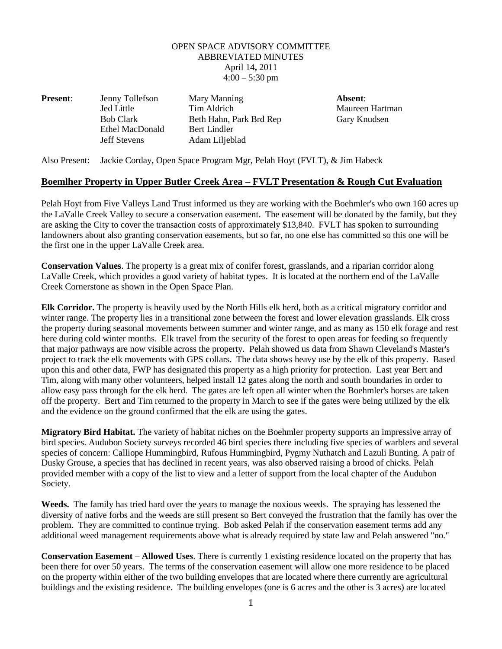## OPEN SPACE ADVISORY COMMITTEE ABBREVIATED MINUTES April 14**,** 2011  $4:00 - 5:30$  pm

| <b>Present:</b> | Jenny Tollefson     | Mary Manning            | Absent: |
|-----------------|---------------------|-------------------------|---------|
|                 | Jed Little          | Tim Aldrich             | Maureen |
|                 | <b>Bob Clark</b>    | Beth Hahn, Park Brd Rep | Gary Kn |
|                 | Ethel MacDonald     | Bert Lindler            |         |
|                 | <b>Jeff Stevens</b> | Adam Liljeblad          |         |
|                 |                     |                         |         |

Maureen Hartman Gary Knudsen

Also Present: Jackie Corday, Open Space Program Mgr, Pelah Hoyt (FVLT), & Jim Habeck

## **Boemlher Property in Upper Butler Creek Area – FVLT Presentation & Rough Cut Evaluation**

Pelah Hoyt from Five Valleys Land Trust informed us they are working with the Boehmler's who own 160 acres up the LaValle Creek Valley to secure a conservation easement. The easement will be donated by the family, but they are asking the City to cover the transaction costs of approximately \$13,840. FVLT has spoken to surrounding landowners about also granting conservation easements, but so far, no one else has committed so this one will be the first one in the upper LaValle Creek area.

**Conservation Values**. The property is a great mix of conifer forest, grasslands, and a riparian corridor along LaValle Creek, which provides a good variety of habitat types. It is located at the northern end of the LaValle Creek Cornerstone as shown in the Open Space Plan.

**Elk Corridor.** The property is heavily used by the North Hills elk herd, both as a critical migratory corridor and winter range. The property lies in a transitional zone between the forest and lower elevation grasslands. Elk cross the property during seasonal movements between summer and winter range, and as many as 150 elk forage and rest here during cold winter months. Elk travel from the security of the forest to open areas for feeding so frequently that major pathways are now visible across the property. Pelah showed us data from Shawn Cleveland's Master's project to track the elk movements with GPS collars. The data shows heavy use by the elk of this property. Based upon this and other data, FWP has designated this property as a high priority for protection. Last year Bert and Tim, along with many other volunteers, helped install 12 gates along the north and south boundaries in order to allow easy pass through for the elk herd. The gates are left open all winter when the Boehmler's horses are taken off the property. Bert and Tim returned to the property in March to see if the gates were being utilized by the elk and the evidence on the ground confirmed that the elk are using the gates.

**Migratory Bird Habitat.** The variety of habitat niches on the Boehmler property supports an impressive array of bird species. Audubon Society surveys recorded 46 bird species there including five species of warblers and several species of concern: Calliope Hummingbird, Rufous Hummingbird, Pygmy Nuthatch and Lazuli Bunting. A pair of Dusky Grouse, a species that has declined in recent years, was also observed raising a brood of chicks. Pelah provided member with a copy of the list to view and a letter of support from the local chapter of the Audubon Society.

**Weeds.** The family has tried hard over the years to manage the noxious weeds. The spraying has lessened the diversity of native forbs and the weeds are still present so Bert conveyed the frustration that the family has over the problem. They are committed to continue trying. Bob asked Pelah if the conservation easement terms add any additional weed management requirements above what is already required by state law and Pelah answered "no."

**Conservation Easement – Allowed Uses**. There is currently 1 existing residence located on the property that has been there for over 50 years. The terms of the conservation easement will allow one more residence to be placed on the property within either of the two building envelopes that are located where there currently are agricultural buildings and the existing residence. The building envelopes (one is 6 acres and the other is 3 acres) are located